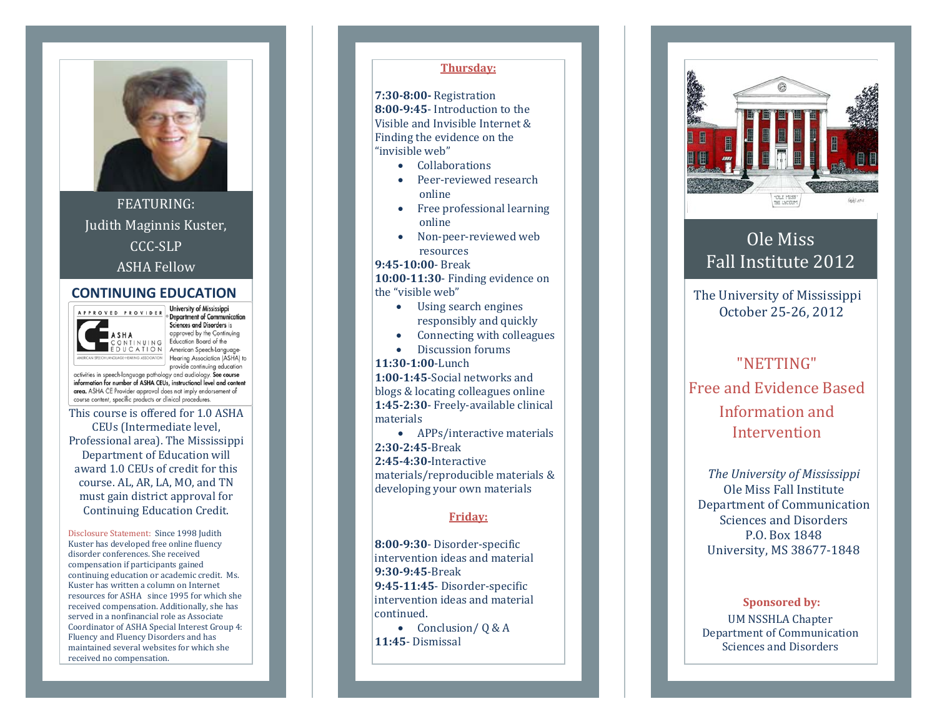

FEATURING: Judith Maginnis Kuster, CCC‐SLP ASHA Fellow

### **CONTINUING EDUCATION**



A P P R O V E D P R O V I D E R D Department of Communication Sciences and Disorders is approved by the Continuing Education Board of the EDUCATION American Speech-Language Hearing Association (ASHA) to provide continuing education

activities in speech-language pathology and audiology. See course information for number of ASHA CEUs, instructional level and content area. ASHA CE Provider approval does not imply endorsement of course content, specific products or clinical procedures.

This course is offered for 1.0 ASHA CEUs (Intermediate level, Professional area). The Mississippi Department of Education will award 1.0 CEUs of credit for this course. AL, AR, LA, MO, and TN must gain district approval for Continuing Education Credit.

Disclosure Statement: Since 1998 Judith Kuster has developed free online fluency disorder conferences. She received compensation if participants gained continuing education or academic credit. Ms. Kuster has written a column on Internet resources for ASHA since 1995 for which she received compensation. Additionally, she has served in a nonfinancial role as Associate Coordinator of ASHA Special Interest Group 4: Fluency and Fluency Disorders and has maintained several websites for which she received no compensation.

### **Thursday:**

**7:308:00** Registration **8:009:45**‐ Introduction to the Visible and Invisible Internet & Finding the evidence on the "invisible web"

- Collaborations
- Peer-reviewed research online
- Free professional learning online
- • Non‐peer‐reviewed web resources

#### **9:4510:00**‐ Break

**10:0011:30**‐ Finding evidence on the "visible web"

- Using search engines responsibly and quickly
- •Connecting with colleagues
- Discussion forums

#### **11:301:00**‐Lunch

•

**1:001:45**‐Social networks and blogs & locating colleagues online **1:452:30**‐ Freely‐available clinical materials

• APPs/interactive materials **2:302:45**‐Break **2:454:30**Interactive

materials/reproducible materials & developing your own materials

### **Friday:**

**8:009:30**‐ Disorder‐specific intervention ideas and material **9:309:45**‐Break **9:4511:45**‐ Disorder‐specific intervention ideas and material continued.

• Conclusion/ Q & A **11:45**‐ Dismissal



# Ole Miss Fall Institute 2012

The University of Mississippi October 25‐26, 2012

## "NETTING" Free and Evidence Based Information and Intervention

*The University of Mississippi* Ole Miss Fall Institute Department of Communication Sciences and Disorders P.O. Box 1848 University, MS 38677‐1848

**Sponsored by:** UM NSSHLA Chapter Department of Communication Sciences and Disorders